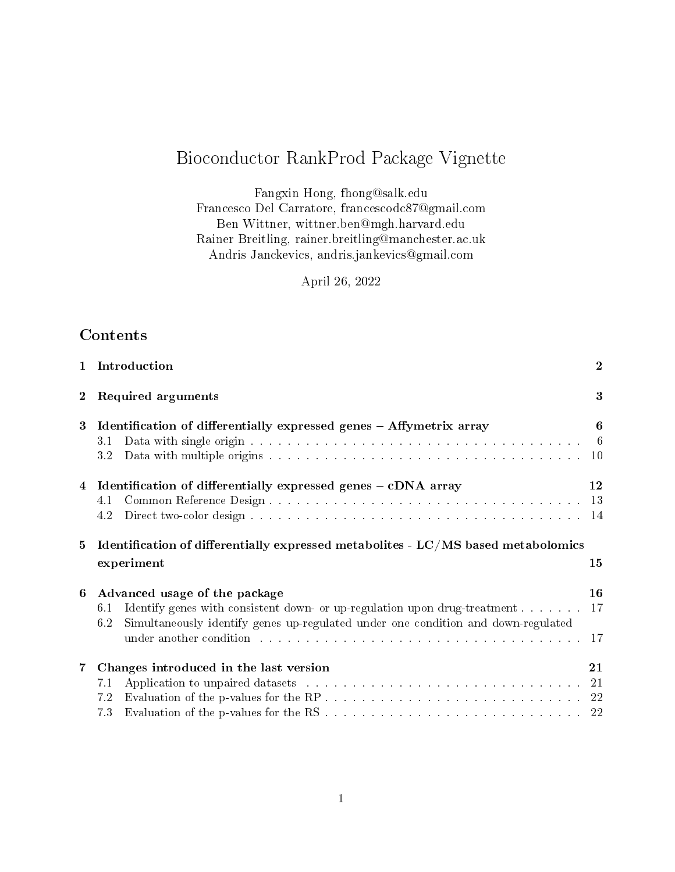# Bioconductor RankProd Package Vignette

Fangxin Hong, fhong@salk.edu Francesco Del Carratore, francescodc87@gmail.com Ben Wittner, wittner.ben@mgh.harvard.edu Rainer Breitling, rainer.breitling@manchester.ac.uk Andris Janckevics, andris.jankevics@gmail.com

April 26, 2022

# **Contents**

| $\mathbf{1}$   | Introduction                                                                                                                                                                                                                                                                                                                    | $\boldsymbol{2}$ |
|----------------|---------------------------------------------------------------------------------------------------------------------------------------------------------------------------------------------------------------------------------------------------------------------------------------------------------------------------------|------------------|
| $\overline{2}$ | Required arguments                                                                                                                                                                                                                                                                                                              | 3                |
| $\bf{3}$       | Identification of differentially expressed genes - Affymetrix array<br>31<br>3.2                                                                                                                                                                                                                                                | 6<br>- 6         |
| 4              | Identification of differentially expressed genes - cDNA array<br>4.1<br>4.2                                                                                                                                                                                                                                                     | 12               |
| 5              | Identification of differentially expressed metabolites - $LC/MS$ based metabolomics<br>experiment                                                                                                                                                                                                                               | 15               |
| 6              | Advanced usage of the package<br>Identify genes with consistent down- or up-regulation upon drug-treatment<br>6.1<br>Simultaneously identify genes up-regulated under one condition and down-regulated<br>6.2<br>under another condition with a subsequently and the subsequently and the subsequently and the subsequently and | 16<br>17<br>17   |
| 7              | Changes introduced in the last version<br>Application to unpaired datasets with a contract to contract the contract of 21<br>7.1<br>7.2<br>7.3                                                                                                                                                                                  | 21               |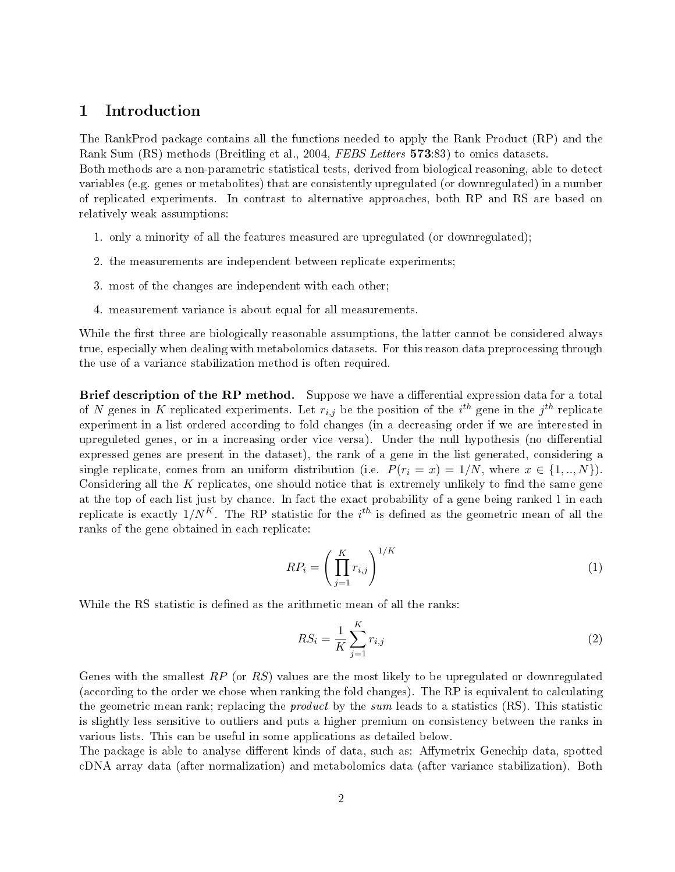## 1 Introduction

The RankProd package contains all the functions needed to apply the Rank Product (RP) and the Rank Sum (RS) methods (Breitling et al., 2004, FEBS Letters 573:83) to omics datasets.

Both methods are a non-parametric statistical tests, derived from biological reasoning, able to detect variables (e.g. genes or metabolites) that are consistently upregulated (or downregulated) in a number of replicated experiments. In contrast to alternative approaches, both RP and RS are based on relatively weak assumptions:

- 1. only a minority of all the features measured are upregulated (or downregulated);
- 2. the measurements are independent between replicate experiments;
- 3. most of the changes are independent with each other;
- 4. measurement variance is about equal for all measurements.

While the first three are biologically reasonable assumptions, the latter cannot be considered always true, especially when dealing with metabolomics datasets. For this reason data preprocessing through the use of a variance stabilization method is often required.

Brief description of the RP method. Suppose we have a differential expression data for a total of N genes in K replicated experiments. Let  $r_{i,j}$  be the position of the  $i^{th}$  gene in the  $j^{th}$  replicate experiment in a list ordered according to fold changes (in a decreasing order if we are interested in upreguleted genes, or in a increasing order vice versa). Under the null hypothesis (no differential expressed genes are present in the dataset), the rank of a gene in the list generated, considering a single replicate, comes from an uniform distribution (i.e.  $P(r_i = x) = 1/N$ , where  $x \in \{1,..,N\}$ ). Considering all the  $K$  replicates, one should notice that is extremely unlikely to find the same gene at the top of each list just by chance. In fact the exact probability of a gene being ranked 1 in each replicate is exactly  $1/N^K$ . The RP statistic for the  $i^{th}$  is defined as the geometric mean of all the ranks of the gene obtained in each replicate:

$$
RP_i = \left(\prod_{j=1}^K r_{i,j}\right)^{1/K} \tag{1}
$$

While the RS statistic is defined as the arithmetic mean of all the ranks:

$$
RS_i = \frac{1}{K} \sum_{j=1}^{K} r_{i,j}
$$
 (2)

Genes with the smallest RP (or RS) values are the most likely to be upregulated or downregulated (according to the order we chose when ranking the fold changes). The RP is equivalent to calculating the geometric mean rank; replacing the *product* by the sum leads to a statistics (RS). This statistic is slightly less sensitive to outliers and puts a higher premium on consistency between the ranks in various lists. This can be useful in some applications as detailed below.

The package is able to analyse different kinds of data, such as: Affymetrix Genechip data, spotted cDNA array data (after normalization) and metabolomics data (after variance stabilization). Both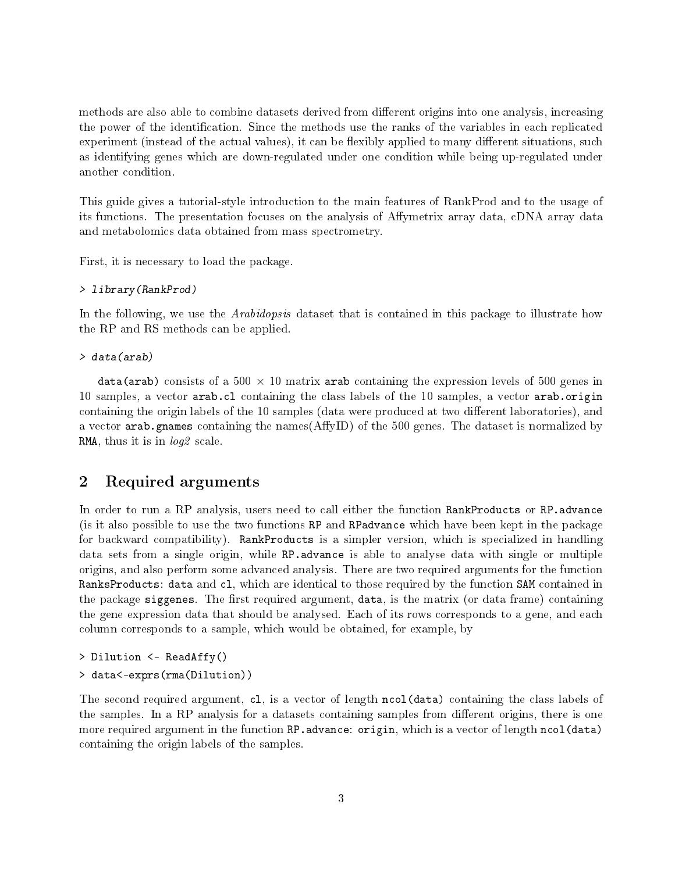methods are also able to combine datasets derived from different origins into one analysis, increasing the power of the identification. Since the methods use the ranks of the variables in each replicated experiment (instead of the actual values), it can be flexibly applied to many different situations, such as identifying genes which are down-regulated under one condition while being up-regulated under another condition.

This guide gives a tutorial-style introduction to the main features of RankProd and to the usage of its functions. The presentation focuses on the analysis of Affymetrix array data, cDNA array data and metabolomics data obtained from mass spectrometry.

First, it is necessary to load the package.

### > library(RankProd)

In the following, we use the *Arabidopsis* dataset that is contained in this package to illustrate how the RP and RS methods can be applied.

```
> data(arab)
```
data(arab) consists of a 500  $\times$  10 matrix arab containing the expression levels of 500 genes in 10 samples, a vector arab.cl containing the class labels of the 10 samples, a vector arab.origin containing the origin labels of the 10 samples (data were produced at two different laboratories), and a vector arab.gnames containing the names (AffyID) of the 500 genes. The dataset is normalized by RMA, thus it is in  $log2$  scale.

## 2 Required arguments

In order to run a RP analysis, users need to call either the function RankProducts or RP. advance (is it also possible to use the two functions RP and RPadvance which have been kept in the package for backward compatibility). RankProducts is a simpler version, which is specialized in handling data sets from a single origin, while RP.advance is able to analyse data with single or multiple origins, and also perform some advanced analysis. There are two required arguments for the function RanksProducts: data and cl, which are identical to those required by the function SAM contained in the package siggenes. The first required argument, data, is the matrix (or data frame) containing the gene expression data that should be analysed. Each of its rows corresponds to a gene, and each column corresponds to a sample, which would be obtained, for example, by

```
> Dilution <- ReadAffy()
> data<-exprs(rma(Dilution))
```
The second required argument, c1, is a vector of length ncol(data) containing the class labels of the samples. In a RP analysis for a datasets containing samples from different origins, there is one more required argument in the function RP. advance: origin, which is a vector of length ncol(data) containing the origin labels of the samples.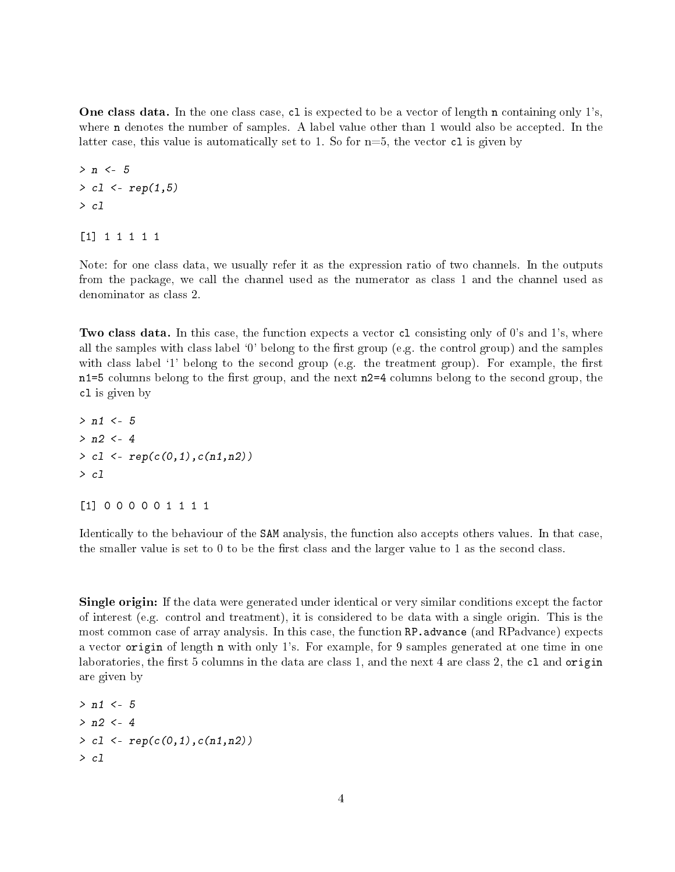One class data. In the one class case, cl is expected to be a vector of length n containing only 1's, where n denotes the number of samples. A label value other than 1 would also be accepted. In the latter case, this value is automatically set to 1. So for  $n=5$ , the vector c1 is given by

 $> n < -5$  $> c1 < -rep(1, 5)$ > cl

[1] 1 1 1 1 1

Note: for one class data, we usually refer it as the expression ratio of two channels. In the outputs from the package, we call the channel used as the numerator as class 1 and the channel used as denominator as class 2.

Two class data. In this case, the function expects a vector c1 consisting only of 0's and 1's, where all the samples with class label  $\mathcal{O}'$  belong to the first group (e.g. the control group) and the samples with class label '1' belong to the second group (e.g. the treatment group). For example, the first  $n1=5$  columns belong to the first group, and the next  $n2=4$  columns belong to the second group, the cl is given by

 $> n1 < -5$  $> n2 < -4$  $> c1 < -\text{rep}(c(0,1),c(n1,n2))$ > cl

[1] 0 0 0 0 0 1 1 1 1

Identically to the behaviour of the SAM analysis, the function also accepts others values. In that case, the smaller value is set to 0 to be the first class and the larger value to 1 as the second class.

Single origin: If the data were generated under identical or very similar conditions except the factor of interest (e.g. control and treatment), it is considered to be data with a single origin. This is the most common case of array analysis. In this case, the function RP.advance (and RPadvance) expects a vector origin of length n with only 1's. For example, for 9 samples generated at one time in one laboratories, the first 5 columns in the data are class 1, and the next 4 are class 2, the  $c1$  and origin are given by

 $> n1 < -5$  $> n2 < -4$  $> c1 \leq -rep(c(0,1),c(n1,n2))$ > cl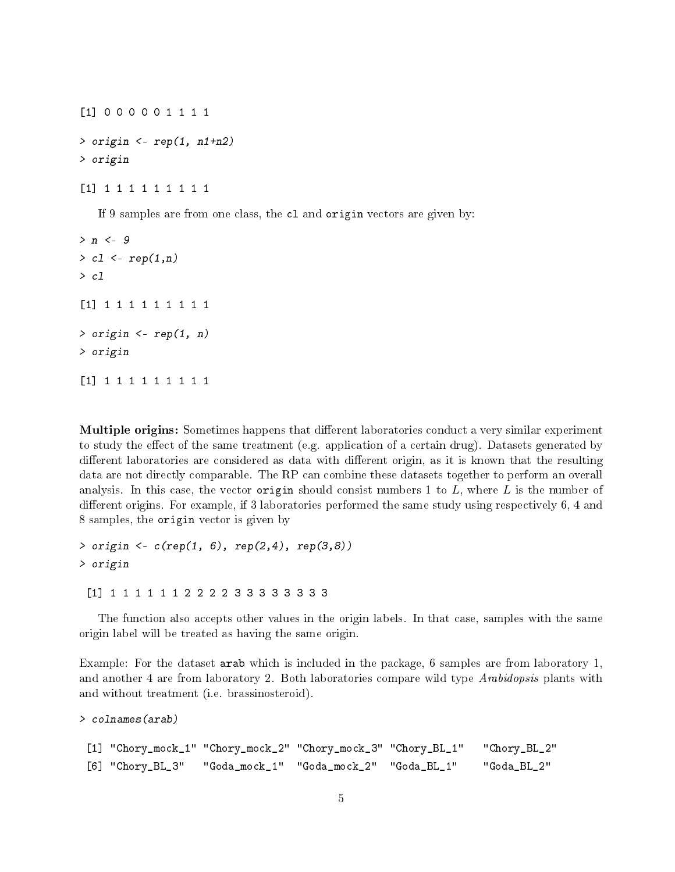[1] 0 0 0 0 0 1 1 1 1 > origin <- rep(1, n1+n2) > origin

[1] 1 1 1 1 1 1 1 1 1

If 9 samples are from one class, the cl and origin vectors are given by:

```
> n < -9> c1 \leq -rep(1,n)> cl
[1] 1 1 1 1 1 1 1 1 1
> origin \leq rep(1, n)
> origin
[1] 1 1 1 1 1 1 1 1 1
```
Multiple origins: Sometimes happens that different laboratories conduct a very similar experiment to study the effect of the same treatment (e.g. application of a certain drug). Datasets generated by different laboratories are considered as data with different origin, as it is known that the resulting data are not directly comparable. The RP can combine these datasets together to perform an overall analysis. In this case, the vector origin should consist numbers 1 to  $L$ , where  $L$  is the number of different origins. For example, if 3 laboratories performed the same study using respectively 6, 4 and 8 samples, the origin vector is given by

```
> origin <- c(rep(1, 6), rep(2,4), rep(3,8))
> origin
 [1] 1 1 1 1 1 1 2 2 2 2 3 3 3 3 3 3 3 3
```
The function also accepts other values in the origin labels. In that case, samples with the same origin label will be treated as having the same origin.

Example: For the dataset arab which is included in the package, 6 samples are from laboratory 1, and another 4 are from laboratory 2. Both laboratories compare wild type Arabidopsis plants with and without treatment (i.e. brassinosteroid).

```
> colnames(arab)
```

```
[1] "Chory_mock_1" "Chory_mock_2" "Chory_mock_3" "Chory_BL_1" "Chory_BL_2"
[6] "Chory_BL_3" "Goda_mock_1" "Goda_mock_2" "Goda_BL_1" "Goda_BL_2"
```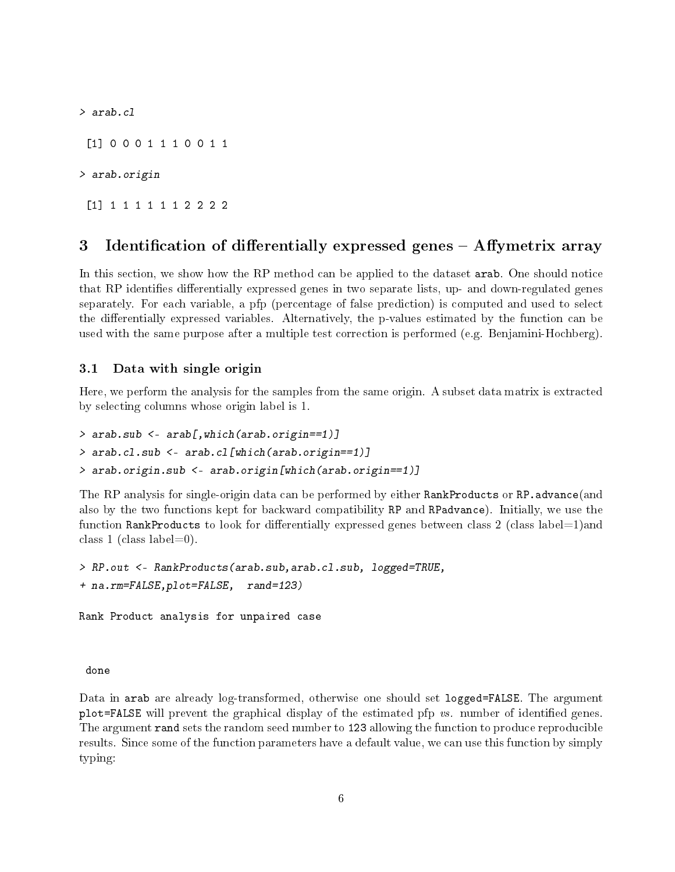> arab.cl [1] 0 0 0 1 1 1 0 0 1 1 > arab.origin [1] 1 1 1 1 1 1 2 2 2 2

# 3 Identification of differentially expressed genes – Affymetrix array

In this section, we show how the RP method can be applied to the dataset arab. One should notice that RP identifies differentially expressed genes in two separate lists, up- and down-regulated genes separately. For each variable, a pfp (percentage of false prediction) is computed and used to select the differentially expressed variables. Alternatively, the p-values estimated by the function can be used with the same purpose after a multiple test correction is performed (e.g. Benjamini-Hochberg).

### 3.1 Data with single origin

Here, we perform the analysis for the samples from the same origin. A subset data matrix is extracted by selecting columns whose origin label is 1.

```
> arab.sub <- arab[,which(arab.origin==1)]
> arab.cl.sub <- arab.cl[which(arab.origin==1)]
> arab.origin.sub <- arab.origin[which(arab.origin==1)]
```
The RP analysis for single-origin data can be performed by either RankProducts or RP.advance(and also by the two functions kept for backward compatibility RP and RPadvance). Initially, we use the function RankProducts to look for differentially expressed genes between class 2 (class label=1)and class 1 (class label=0).

```
> RP.out <- RankProducts(arab.sub,arab.cl.sub, logged=TRUE,
+ na.rm=FALSE,plot=FALSE, rand=123)
Rank Product analysis for unpaired case
```
done

Data in arab are already log-transformed, otherwise one should set logged=FALSE. The argument plot=FALSE will prevent the graphical display of the estimated pfp  $vs.$  number of identified genes. The argument rand sets the random seed number to 123 allowing the function to produce reproducible results. Since some of the function parameters have a default value, we can use this function by simply typing: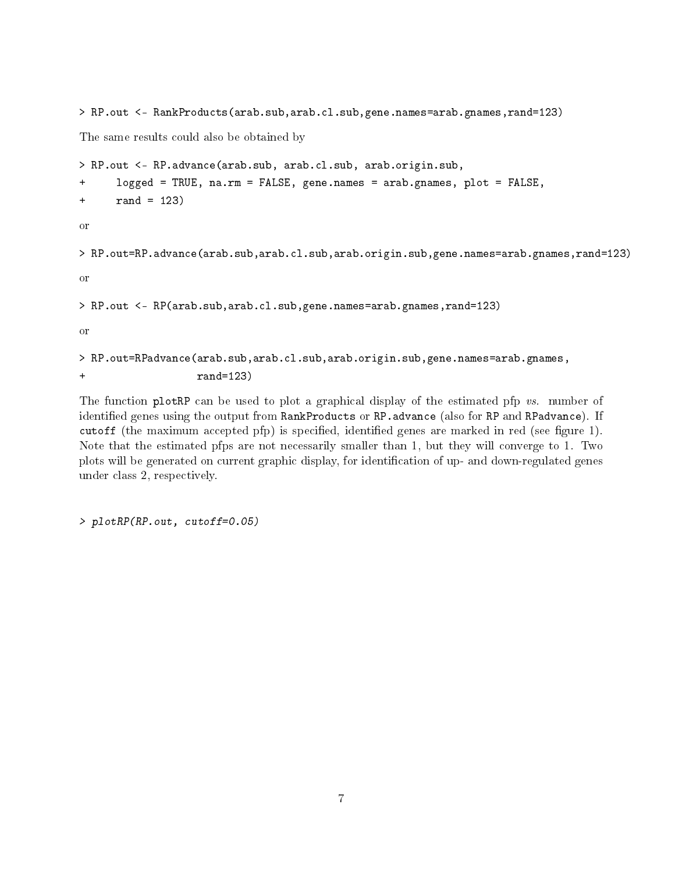```
> RP.out <- RankProducts(arab.sub,arab.cl.sub,gene.names=arab.gnames,rand=123)
The same results could also be obtained by
> RP.out <- RP.advance(arab.sub, arab.cl.sub, arab.origin.sub,
+ logged = TRUE, na.rm = FALSE, gene.names = arab.gnames, plot = FALSE,
+ rand = 123)
or
> RP.out=RP.advance(arab.sub,arab.cl.sub,arab.origin.sub,gene.names=arab.gnames,rand=123)
or
> RP.out <- RP(arab.sub,arab.cl.sub,gene.names=arab.gnames,rand=123)
or
> RP.out=RPadvance(arab.sub,arab.cl.sub,arab.origin.sub,gene.names=arab.gnames,
+ rand=123)
```
The function plotRP can be used to plot a graphical display of the estimated pfp vs. number of identified genes using the output from RankProducts or RP. advance (also for RP and RPadvance). If cutoff (the maximum accepted pfp) is specified, identified genes are marked in red (see figure 1). Note that the estimated pfps are not necessarily smaller than 1, but they will converge to 1. Two plots will be generated on current graphic display, for identification of up- and down-regulated genes under class 2, respectively.

> plotRP(RP.out, cutoff=0.05)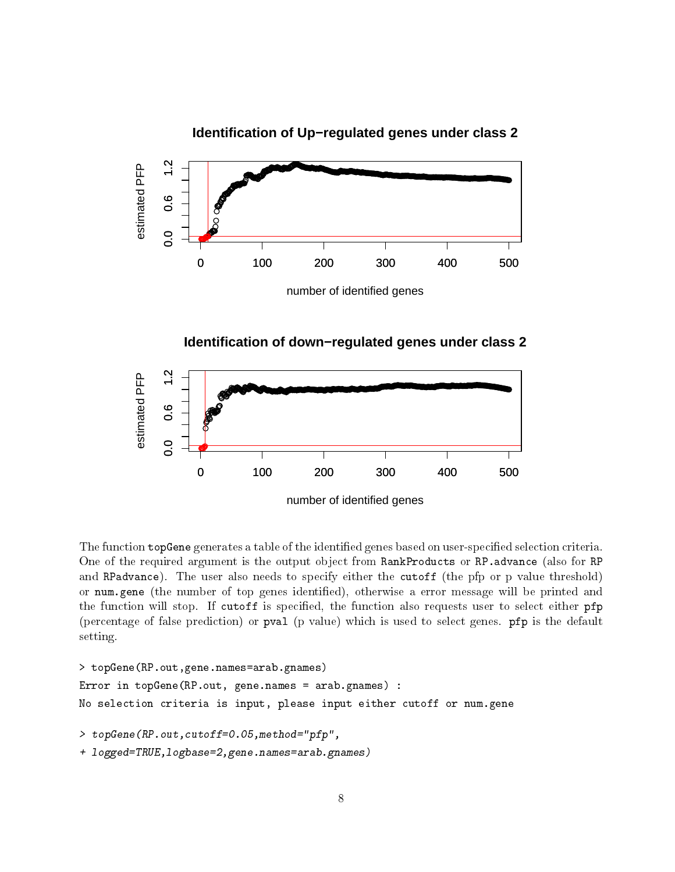## **Identification of Up−regulated genes under class 2**



**Identification of down−regulated genes under class 2**



The function topGene generates a table of the identified genes based on user-specified selection criteria. One of the required argument is the output object from RankProducts or RP.advance (also for RP and RPadvance). The user also needs to specify either the cutoff (the pfp or p value threshold) or num.gene (the number of top genes identified), otherwise a error message will be printed and the function will stop. If cutoff is specified, the function also requests user to select either pfp (percentage of false prediction) or pval (p value) which is used to select genes. pfp is the default setting.

```
> topGene(RP.out,gene.names=arab.gnames)
Error in topGene(RP.out, gene.names = arab.gnames) :
No selection criteria is input, please input either cutoff or num.gene
> topGene(RP.out,cutoff=0.05,method="pfp",
+ logged=TRUE,logbase=2,gene.names=arab.gnames)
```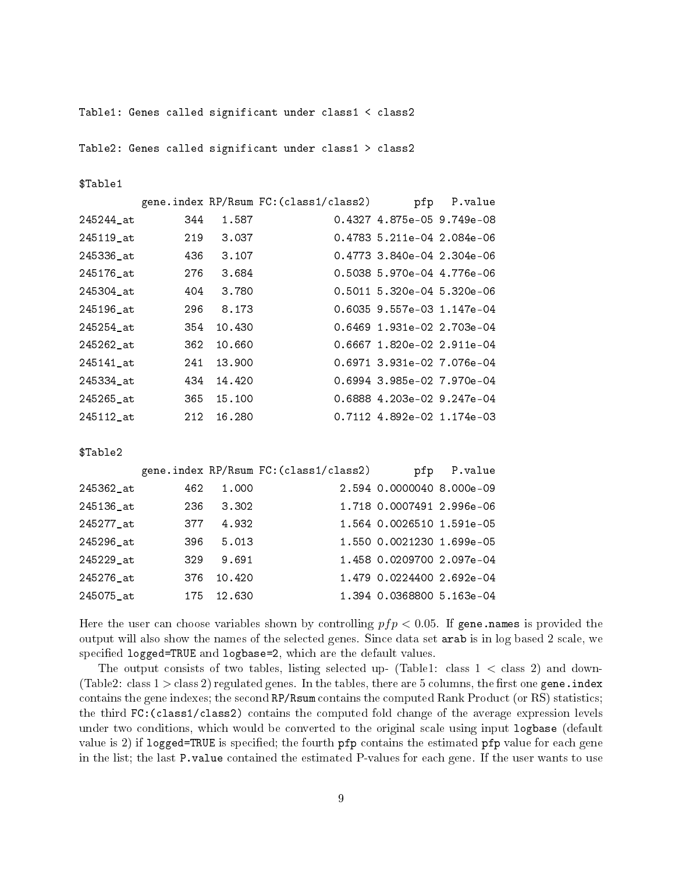Table1: Genes called significant under class1 < class2

Table2: Genes called significant under class1 > class2

\$Table1

|           |     |        | gene.index RP/Rsum FC: (class1/class2) | pfp                          | P.value |
|-----------|-----|--------|----------------------------------------|------------------------------|---------|
| 245244_at | 344 | 1.587  |                                        | 0.4327 4.875e-05 9.749e-08   |         |
| 245119 at | 219 | 3.037  |                                        | 0.4783 5.211e-04 2.084e-06   |         |
| 245336 at | 436 | 3.107  |                                        | $0.4773$ 3.840e-04 2.304e-06 |         |
| 245176 at | 276 | 3.684  |                                        | 0.5038 5.970e-04 4.776e-06   |         |
| 245304_at | 404 | 3.780  |                                        | 0.5011 5.320e-04 5.320e-06   |         |
| 245196_at | 296 | 8.173  |                                        | 0.6035 9.557e-03 1.147e-04   |         |
| 245254 at | 354 | 10.430 |                                        | 0.6469 1.931e-02 2.703e-04   |         |
| 245262_at | 362 | 10.660 |                                        | 0.6667 1.820e-02 2.911e-04   |         |
| 245141 at | 241 | 13.900 |                                        | 0.6971 3.931e-02 7.076e-04   |         |
| 245334 at | 434 | 14.420 |                                        | 0.6994 3.985e-02 7.970e-04   |         |
| 245265_at | 365 | 15,100 |                                        | 0.6888 4.203e-02 9.247e-04   |         |
| 245112 at | 212 | 16.280 |                                        | 0.7112 4.892e-02 1.174e-03   |         |

\$Table2

|           |     |        | gene.index RP/Rsum FC: (class1/class2) | pfp                       | P.value |
|-----------|-----|--------|----------------------------------------|---------------------------|---------|
| 245362 at | 462 | 1.000  |                                        | 2.594 0.0000040 8.000e-09 |         |
| 245136_at | 236 | 3.302  |                                        | 1.718 0.0007491 2.996e-06 |         |
| 245277_at | 377 | 4.932  |                                        | 1.564 0.0026510 1.591e-05 |         |
| 245296_at | 396 | 5.013  |                                        | 1.550 0.0021230 1.699e-05 |         |
| 245229_at | 329 | 9.691  |                                        | 1.458 0.0209700 2.097e-04 |         |
| 245276 at | 376 | 10.420 |                                        | 1.479 0.0224400 2.692e-04 |         |
| 245075_at | 175 | 12.630 |                                        | 1.394 0.0368800 5.163e-04 |         |
|           |     |        |                                        |                           |         |

Here the user can choose variables shown by controlling  $pfp < 0.05$ . If gene.names is provided the output will also show the names of the selected genes. Since data set arab is in log based 2 scale, we specified logged=TRUE and logbase=2, which are the default values.

The output consists of two tables, listing selected up- (Table1: class  $1 <$  class 2) and down-(Table2: class  $1 >$  class 2) regulated genes. In the tables, there are 5 columns, the first one gene.index contains the gene indexes; the second RP/Rsum contains the computed Rank Product (or RS) statistics; the third FC:(class1/class2) contains the computed fold change of the average expression levels under two conditions, which would be converted to the original scale using input logbase (default value is 2) if logged=TRUE is specified; the fourth  $pfp$  contains the estimated  $pfp$  value for each gene in the list; the last P.value contained the estimated P-values for each gene. If the user wants to use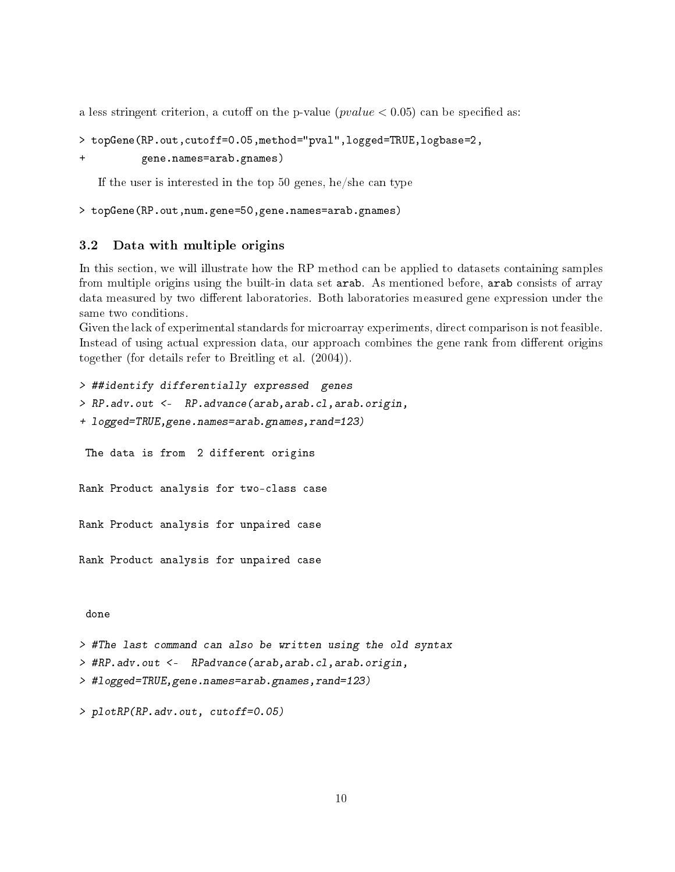a less stringent criterion, a cutoff on the p-value  $(pvalue < 0.05)$  can be specified as:

```
> topGene(RP.out,cutoff=0.05,method="pval",logged=TRUE,logbase=2,
```

```
+ gene.names=arab.gnames)
```
If the user is interested in the top 50 genes, he/she can type

```
> topGene(RP.out,num.gene=50,gene.names=arab.gnames)
```
### 3.2 Data with multiple origins

In this section, we will illustrate how the RP method can be applied to datasets containing samples from multiple origins using the built-in data set arab. As mentioned before, arab consists of array data measured by two different laboratories. Both laboratories measured gene expression under the same two conditions.

Given the lack of experimental standards for microarray experiments, direct comparison is not feasible. Instead of using actual expression data, our approach combines the gene rank from different origins together (for details refer to Breitling et al. (2004)).

```
> ##identify differentially expressed genes
> RP.adv.out <- RP.advance(arab,arab.cl,arab.origin,
+ logged=TRUE,gene.names=arab.gnames,rand=123)
 The data is from 2 different origins
Rank Product analysis for two-class case
Rank Product analysis for unpaired case
Rank Product analysis for unpaired case
 done
> #The last command can also be written using the old syntax
> #RP.adv.out <- RPadvance(arab,arab.cl,arab.origin,
> #logged=TRUE,gene.names=arab.gnames,rand=123)
> plotRP(RP.adv.out, cutoff=0.05)
```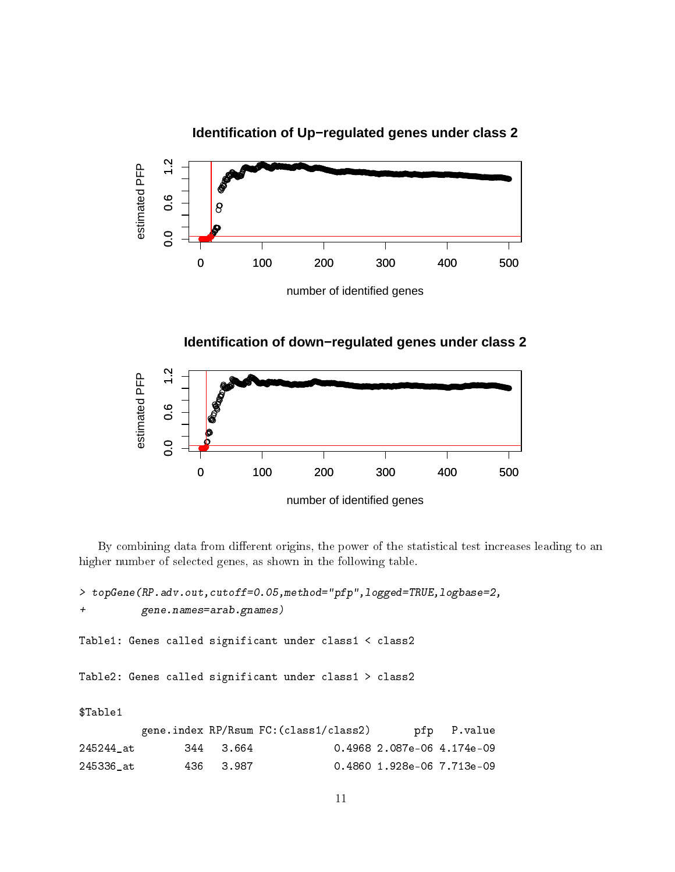



**Identification of down−regulated genes under class 2**



By combining data from different origins, the power of the statistical test increases leading to an higher number of selected genes, as shown in the following table.

> topGene(RP.adv.out,cutoff=0.05,method="pfp",logged=TRUE,logbase=2, + gene.names=arab.gnames) Table1: Genes called significant under class1 < class2 Table2: Genes called significant under class1 > class2 \$Table1 gene.index RP/Rsum FC:(class1/class2) pfp P.value 245244\_at 344 3.664 0.4968 2.087e-06 4.174e-09 245336\_at 436 3.987 0.4860 1.928e-06 7.713e-09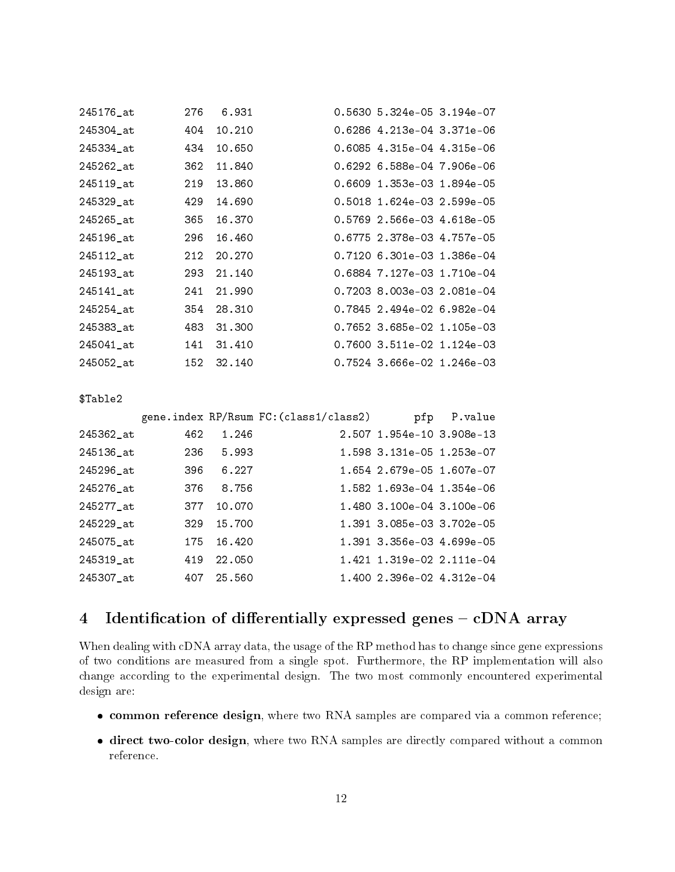| 245176_at | 276 | 6.931  | 0.5630 5.324e-05 3.194e-07 |  |
|-----------|-----|--------|----------------------------|--|
| 245304 at | 404 | 10.210 | 0.6286 4.213e-04 3.371e-06 |  |
| 245334 at | 434 | 10.650 | 0.6085 4.315e-04 4.315e-06 |  |
| 245262_at | 362 | 11.840 | 0.6292 6.588e-04 7.906e-06 |  |
| 245119 at | 219 | 13.860 | 0.6609 1.353e-03 1.894e-05 |  |
| 245329 at | 429 | 14.690 | 0.5018 1.624e-03 2.599e-05 |  |
| 245265 at | 365 | 16.370 | 0.5769 2.566e-03 4.618e-05 |  |
| 245196 at | 296 | 16.460 | 0.6775 2.378e-03 4.757e-05 |  |
| 245112 at | 212 | 20.270 | 0.7120 6.301e-03 1.386e-04 |  |
| 245193 at | 293 | 21.140 | 0.6884 7.127e-03 1.710e-04 |  |
| 245141 at | 241 | 21.990 | 0.7203 8.003e-03 2.081e-04 |  |
| 245254 at | 354 | 28,310 | 0.7845 2.494e-02 6.982e-04 |  |
| 245383_at | 483 | 31,300 | 0.7652 3.685e-02 1.105e-03 |  |
| 245041 at | 141 | 31.410 | 0.7600 3.511e-02 1.124e-03 |  |
| 245052 at | 152 | 32.140 | 0.7524 3.666e-02 1.246e-03 |  |

#### \$Table2

|           |     |        | gene.index RP/Rsum FC: (class1/class2) |                           | pfp P.value |
|-----------|-----|--------|----------------------------------------|---------------------------|-------------|
| 245362_at | 462 | 1.246  |                                        | 2.507 1.954e-10 3.908e-13 |             |
| 245136_at | 236 | 5.993  |                                        | 1.598 3.131e-05 1.253e-07 |             |
| 245296_at | 396 | 6.227  |                                        | 1.654 2.679e-05 1.607e-07 |             |
| 245276 at | 376 | 8.756  |                                        | 1.582 1.693e-04 1.354e-06 |             |
| 245277_at | 377 | 10.070 |                                        | 1.480 3.100e-04 3.100e-06 |             |
| 245229_at | 329 | 15,700 |                                        | 1.391 3.085e-03 3.702e-05 |             |
| 245075_at | 175 | 16.420 |                                        | 1.391 3.356e-03 4.699e-05 |             |
| 245319_at | 419 | 22.050 |                                        | 1.421 1.319e-02 2.111e-04 |             |
| 245307_at | 407 | 25.560 |                                        | 1.400 2.396e-02 4.312e-04 |             |

# 4 Identification of differentially expressed genes  $-$  cDNA array

When dealing with cDNA array data, the usage of the RP method has to change since gene expressions of two conditions are measured from a single spot. Furthermore, the RP implementation will also change according to the experimental design. The two most commonly encountered experimental design are:

- **common reference design**, where two RNA samples are compared via a common reference;
- direct two-color design, where two RNA samples are directly compared without a common reference.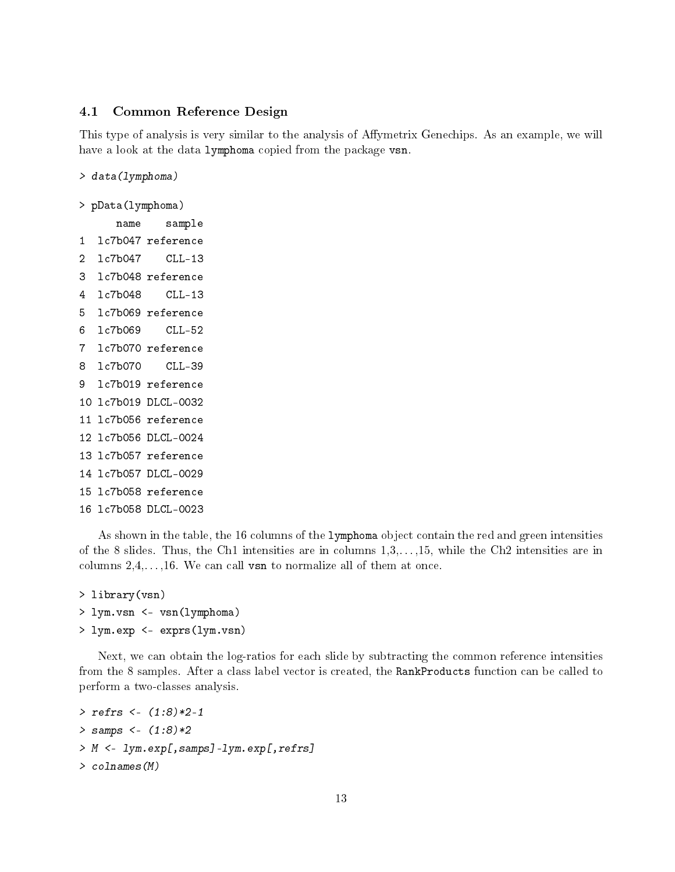### 4.1 Common Reference Design

This type of analysis is very similar to the analysis of Affymetrix Genechips. As an example, we will have a look at the data lymphoma copied from the package vsn.

> data(lymphoma)

```
> pData(lymphoma)
```
name sample 1 lc7b047 reference 2 lc7b047 CLL-13 3 lc7b048 reference 4 lc7b048 CLL-13 5 lc7b069 reference 6 lc7b069 CLL-52 7 lc7b070 reference 8 lc7b070 CLL-39 9 lc7b019 reference 10 lc7b019 DLCL-0032 11 lc7b056 reference 12 lc7b056 DLCL-0024 13 lc7b057 reference 14 lc7b057 DLCL-0029 15 lc7b058 reference 16 lc7b058 DLCL-0023

As shown in the table, the 16 columns of the lymphoma object contain the red and green intensities of the 8 slides. Thus, the Ch1 intensities are in columns 1,3,. . . ,15, while the Ch2 intensities are in columns  $2, 4, \ldots, 16$ . We can call vsn to normalize all of them at once.

```
> library(vsn)
> lym.vsn <- vsn(lymphoma)
> lym.exp <- exprs(lym.vsn)
```
Next, we can obtain the log-ratios for each slide by subtracting the common reference intensities from the 8 samples. After a class label vector is created, the RankProducts function can be called to perform a two-classes analysis.

```
> refrs <- (1:8)*2-1
> samps <- (1:8)*2> M <- lym.exp[,samps]-lym.exp[,refrs]
> colnames(M)
```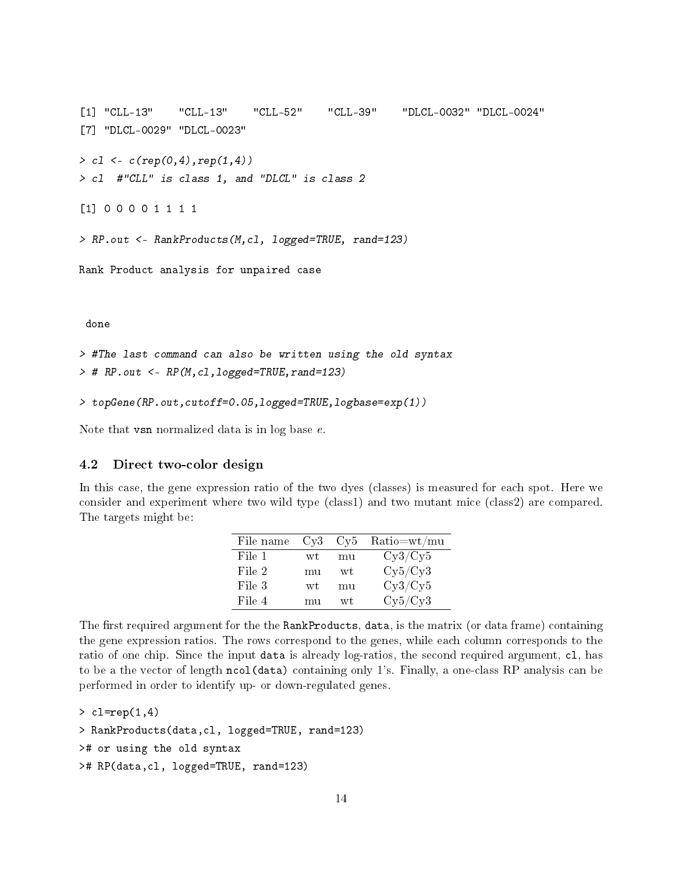```
[1] "CLL-13" "CLL-13" "CLL-52" "CLL-39" "DLCL-0032" "DLCL-0024"
[7] "DLCL-0029" "DLCL-0023"
> c1 \leq c (rep(0, 4), rep(1, 4))> cl #"CLL" is class 1, and "DLCL" is class 2
[1] 0 0 0 0 1 1 1 1
> RP.out <- RankProducts(M,cl, logged=TRUE, rand=123)
Rank Product analysis for unpaired case
 done
> #The last command can also be written using the old syntax
> # RP.out <- RP(M,cl,logged=TRUE,rand=123)
```

```
> topGene(RP.out,cutoff=0.05,logged=TRUE,logbase=exp(1))
```
Note that vsn normalized data is in log base e.

### 4.2 Direct two-color design

In this case, the gene expression ratio of the two dyes (classes) is measured for each spot. Here we consider and experiment where two wild type (class1) and two mutant mice (class2) are compared. The targets might be:

| File name | Cv3 | Cy <sub>5</sub> | $Ratio = wt / mu$ |
|-----------|-----|-----------------|-------------------|
| File 1    | wt  | mu              | Cy3/Cy5           |
| File 2    | mu  | wt              | Cy5/Cy3           |
| File 3    | wt  | mu              | Cy3/Cy5           |
| File 4    | mu  | wt              | Cy5/Cy3           |

The first required argument for the the RankProducts, data, is the matrix (or data frame) containing the gene expression ratios. The rows correspond to the genes, while each column corresponds to the ratio of one chip. Since the input data is already log-ratios, the second required argument, cl, has to be a the vector of length ncol(data) containing only 1's. Finally, a one-class RP analysis can be performed in order to identify up- or down-regulated genes.

```
> cl=rep(1,4)
> RankProducts(data,cl, logged=TRUE, rand=123)
># or using the old syntax
># RP(data,cl, logged=TRUE, rand=123)
```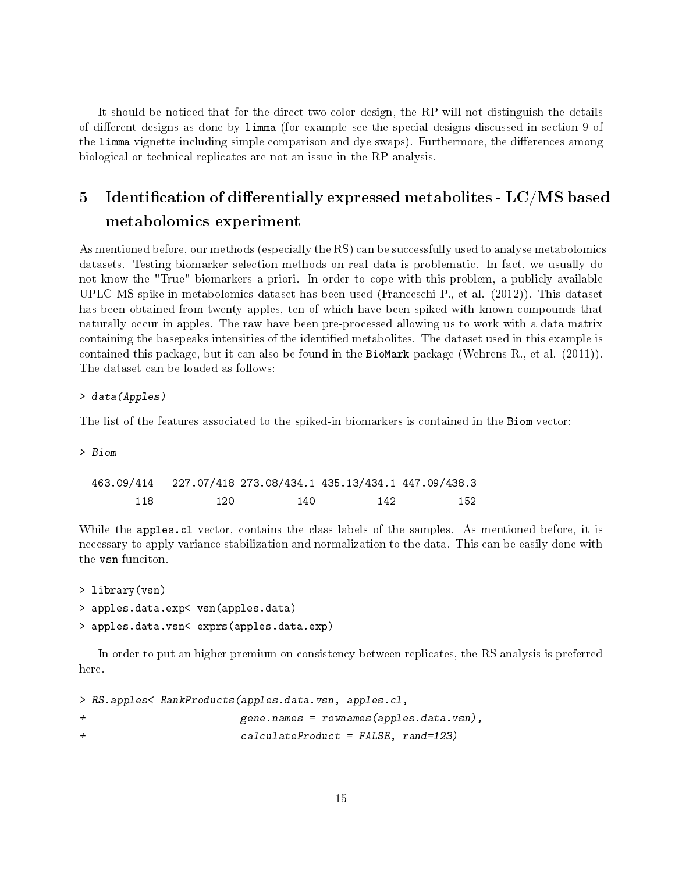It should be noticed that for the direct two-color design, the RP will not distinguish the details of different designs as done by limma (for example see the special designs discussed in section 9 of the limma vignette including simple comparison and dye swaps). Furthermore, the differences among biological or technical replicates are not an issue in the RP analysis.

# 5 Identification of differentially expressed metabolites -  $LC/MS$  based metabolomics experiment

As mentioned before, our methods (especially the RS) can be successfully used to analyse metabolomics datasets. Testing biomarker selection methods on real data is problematic. In fact, we usually do not know the "True" biomarkers a priori. In order to cope with this problem, a publicly available UPLC-MS spike-in metabolomics dataset has been used (Franceschi P., et al. (2012)). This dataset has been obtained from twenty apples, ten of which have been spiked with known compounds that naturally occur in apples. The raw have been pre-processed allowing us to work with a data matrix containing the basepeaks intensities of the identified metabolites. The dataset used in this example is contained this package, but it can also be found in the BioMark package (Wehrens R., et al.  $(2011)$ ). The dataset can be loaded as follows:

### > data(Apples)

The list of the features associated to the spiked-in biomarkers is contained in the Biom vector:

> Biom

| 463.09/414 |     |     |     | 227.07/418 273.08/434.1 435.13/434.1 447.09/438.3 |
|------------|-----|-----|-----|---------------------------------------------------|
| 118        | 120 | 140 | 142 | 152                                               |

While the apples.cl vector, contains the class labels of the samples. As mentioned before, it is necessary to apply variance stabilization and normalization to the data. This can be easily done with the vsn funciton.

```
> library(vsn)
```
> apples.data.exp<-vsn(apples.data)

```
> apples.data.vsn<-exprs(apples.data.exp)
```
In order to put an higher premium on consistency between replicates, the RS analysis is preferred here.

> RS.apples<-RankProducts(apples.data.vsn, apples.cl, + gene.names = rownames(apples.data.vsn), + calculateProduct = FALSE, rand=123)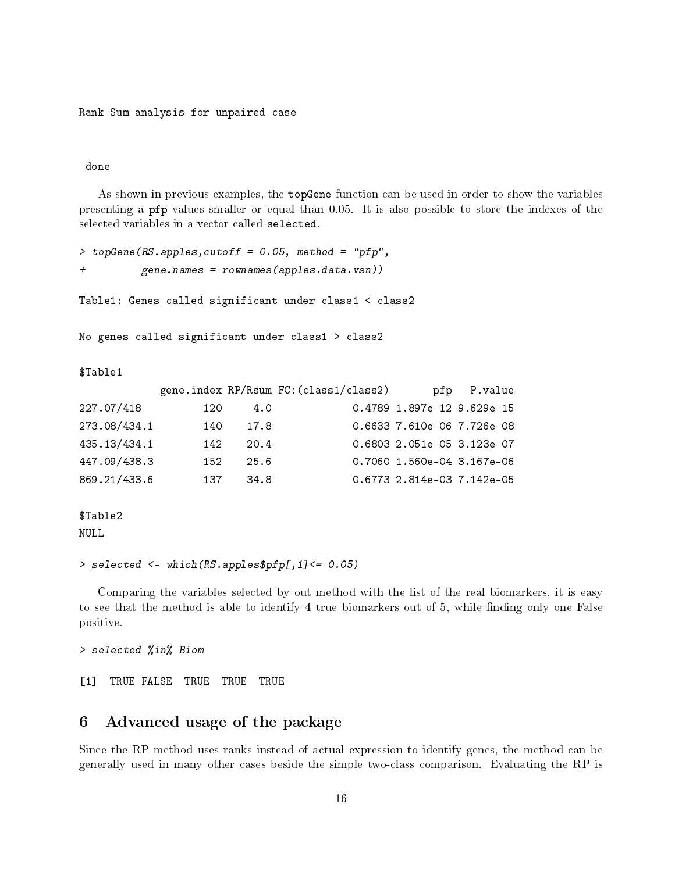#### done

As shown in previous examples, the topGene function can be used in order to show the variables presenting a pfp values smaller or equal than 0.05. It is also possible to store the indexes of the selected variables in a vector called selected.

```
> topGene(RS.apples,cutoff = 0.05, method = "pfp",
+ gene.names = rownames(apples.data.vsn))
Table1: Genes called significant under class1 < class2
No genes called significant under class1 > class2
$Table1
          gene.index RP/Rsum FC: (class1/class2) pfp P.value
227.07/418 120 4.0 0.4789 1.897e-12 9.629e-15
273.08/434.1 140 17.8 0.6633 7.610e-06 7.726e-08
435.13/434.1 142 20.4 0.6803 2.051e-05 3.123e-07
447.09/438.3 152 25.6 0.7060 1.560e-04 3.167e-06
869.21/433.6 137 34.8 0.6773 2.814e-03 7.142e-05
```
\$Table2 NULL

> selected <- which(RS.apples\$pfp[,1]<= 0.05)

Comparing the variables selected by out method with the list of the real biomarkers, it is easy to see that the method is able to identify 4 true biomarkers out of 5, while finding only one False positive.

> selected %in% Biom

[1] TRUE FALSE TRUE TRUE TRUE

## 6 Advanced usage of the package

Since the RP method uses ranks instead of actual expression to identify genes, the method can be generally used in many other cases beside the simple two-class comparison. Evaluating the RP is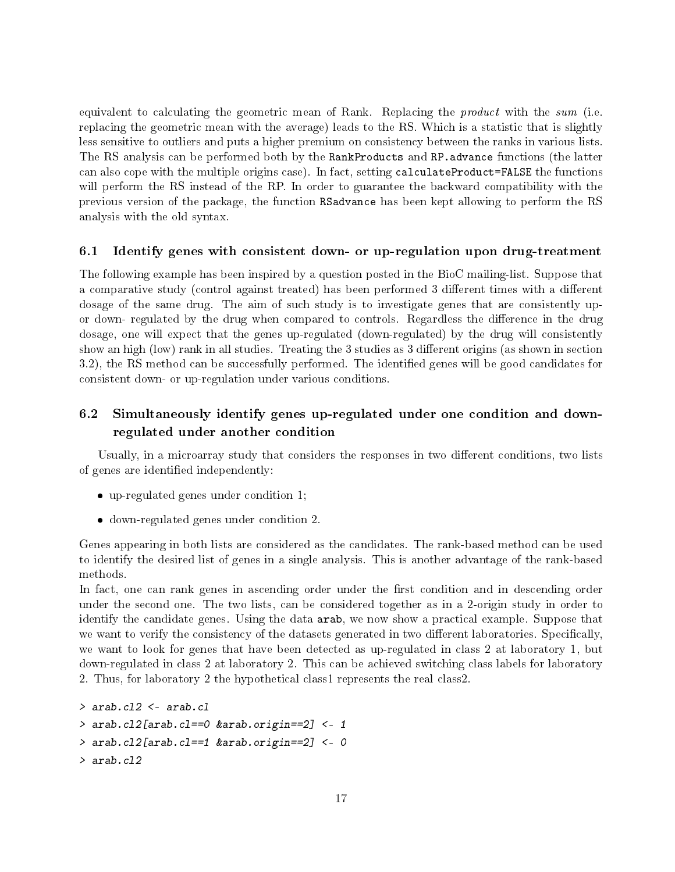equivalent to calculating the geometric mean of Rank. Replacing the *product* with the sum (i.e. replacing the geometric mean with the average) leads to the RS. Which is a statistic that is slightly less sensitive to outliers and puts a higher premium on consistency between the ranks in various lists. The RS analysis can be performed both by the RankProducts and RP. advance functions (the latter can also cope with the multiple origins case). In fact, setting calculateProduct=FALSE the functions will perform the RS instead of the RP. In order to guarantee the backward compatibility with the previous version of the package, the function RSadvance has been kept allowing to perform the RS analysis with the old syntax.

### 6.1 Identify genes with consistent down- or up-regulation upon drug-treatment

The following example has been inspired by a question posted in the BioC mailing-list. Suppose that a comparative study (control against treated) has been performed 3 different times with a different dosage of the same drug. The aim of such study is to investigate genes that are consistently upor down- regulated by the drug when compared to controls. Regardless the difference in the drug dosage, one will expect that the genes up-regulated (down-regulated) by the drug will consistently show an high (low) rank in all studies. Treating the 3 studies as 3 different origins (as shown in section 3.2), the RS method can be successfully performed. The identied genes will be good candidates for consistent down- or up-regulation under various conditions.

# 6.2 Simultaneously identify genes up-regulated under one condition and downregulated under another condition

Usually, in a microarray study that considers the responses in two different conditions, two lists of genes are identified independently:

- up-regulated genes under condition 1;
- down-regulated genes under condition 2.

Genes appearing in both lists are considered as the candidates. The rank-based method can be used to identify the desired list of genes in a single analysis. This is another advantage of the rank-based methods.

In fact, one can rank genes in ascending order under the first condition and in descending order under the second one. The two lists, can be considered together as in a 2-origin study in order to identify the candidate genes. Using the data arab, we now show a practical example. Suppose that we want to verify the consistency of the datasets generated in two different laboratories. Specifically, we want to look for genes that have been detected as up-regulated in class 2 at laboratory 1, but down-regulated in class 2 at laboratory 2. This can be achieved switching class labels for laboratory 2. Thus, for laboratory 2 the hypothetical class1 represents the real class2.

```
> arab.cl2 <- arab.cl
> arab.cl2[arab.cl==0 &arab.origin==2] <- 1
> arab.cl2[arab.cl==1 &arab.origin==2] <- 0
> arab.cl2
```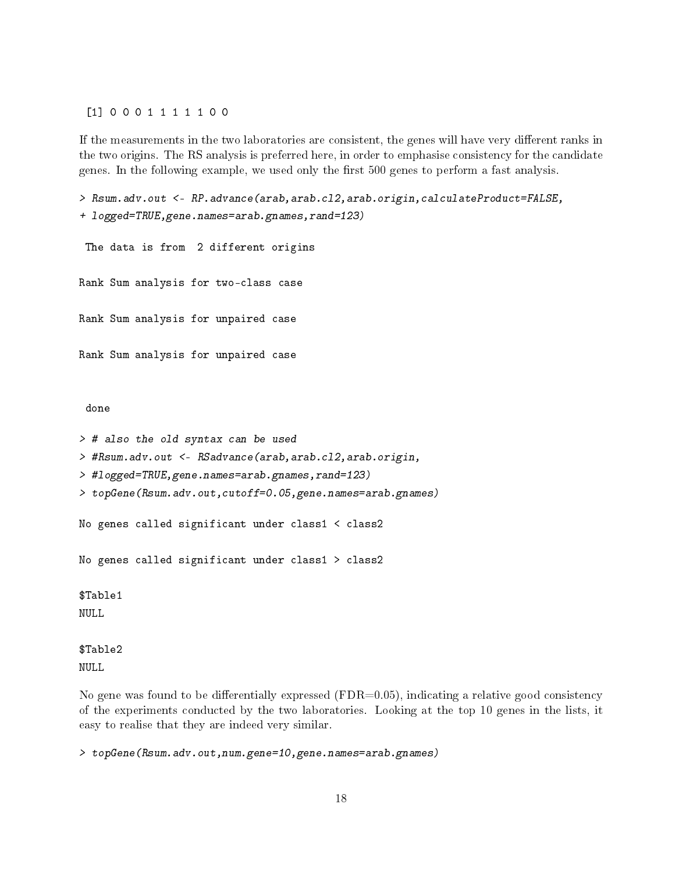[1] 0 0 0 1 1 1 1 1 0 0

If the measurements in the two laboratories are consistent, the genes will have very different ranks in the two origins. The RS analysis is preferred here, in order to emphasise consistency for the candidate genes. In the following example, we used only the first 500 genes to perform a fast analysis.

> Rsum.adv.out <- RP.advance(arab,arab.cl2,arab.origin,calculateProduct=FALSE, + logged=TRUE,gene.names=arab.gnames,rand=123) The data is from 2 different origins Rank Sum analysis for two-class case Rank Sum analysis for unpaired case Rank Sum analysis for unpaired case done > # also the old syntax can be used > #Rsum.adv.out <- RSadvance(arab,arab.cl2,arab.origin, > #logged=TRUE,gene.names=arab.gnames,rand=123) > topGene(Rsum.adv.out,cutoff=0.05,gene.names=arab.gnames) No genes called significant under class1 < class2 No genes called significant under class1 > class2

\$Table1 NULL

\$Table2 NULL

No gene was found to be differentially expressed ( $FDR=0.05$ ), indicating a relative good consistency of the experiments conducted by the two laboratories. Looking at the top 10 genes in the lists, it easy to realise that they are indeed very similar.

> topGene(Rsum.adv.out,num.gene=10,gene.names=arab.gnames)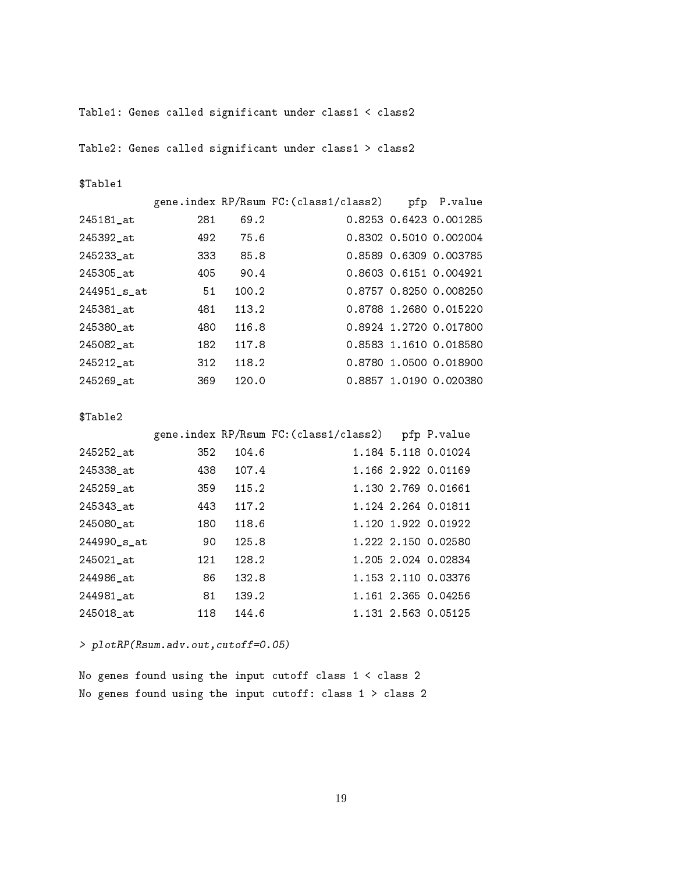Table1: Genes called significant under class1 < class2

Table2: Genes called significant under class1 > class2

\$Table1

|             |     |       | gene.index RP/Rsum FC:(class1/class2) | pfp P.value            |
|-------------|-----|-------|---------------------------------------|------------------------|
| 245181_at   | 281 | 69.2  |                                       | 0.8253 0.6423 0.001285 |
| 245392 at   | 492 | 75.6  |                                       | 0.8302 0.5010 0.002004 |
| 245233_at   | 333 | 85.8  |                                       | 0.8589 0.6309 0.003785 |
| 245305 at   | 405 | 90.4  |                                       | 0.8603 0.6151 0.004921 |
| 244951_s_at | 51  | 100.2 |                                       | 0.8757 0.8250 0.008250 |
| 245381 at   | 481 | 113.2 |                                       | 0.8788 1.2680 0.015220 |
| 245380 at   | 480 | 116.8 |                                       | 0.8924 1.2720 0.017800 |
| 245082_at   | 182 | 117.8 |                                       | 0.8583 1.1610 0.018580 |
| 245212 at   | 312 | 118.2 |                                       | 0.8780 1.0500 0.018900 |
| 245269 at   | 369 | 120.0 |                                       | 0.8857 1.0190 0.020380 |
|             |     |       |                                       |                        |

\$Table2

|             |     |       | gene.index RP/Rsum FC: (class1/class2) | pfp P.value         |
|-------------|-----|-------|----------------------------------------|---------------------|
| 245252_at   | 352 | 104.6 |                                        | 1.184 5.118 0.01024 |
| 245338 at   | 438 | 107.4 |                                        | 1.166 2.922 0.01169 |
| 245259 at   | 359 | 115.2 |                                        | 1.130 2.769 0.01661 |
| 245343 at   | 443 | 117.2 |                                        | 1.124 2.264 0.01811 |
| 245080_at   | 180 | 118.6 |                                        | 1.120 1.922 0.01922 |
| 244990 s at | 90  | 125.8 |                                        | 1.222 2.150 0.02580 |
| 245021_at   | 121 | 128.2 |                                        | 1.205 2.024 0.02834 |
| 244986 at   | 86  | 132.8 |                                        | 1.153 2.110 0.03376 |
| 244981_at   | 81  | 139.2 |                                        | 1.161 2.365 0.04256 |
| 245018 at   | 118 | 144.6 |                                        | 1.131 2.563 0.05125 |

> plotRP(Rsum.adv.out,cutoff=0.05)

No genes found using the input cutoff class 1 < class 2 No genes found using the input cutoff: class 1 > class 2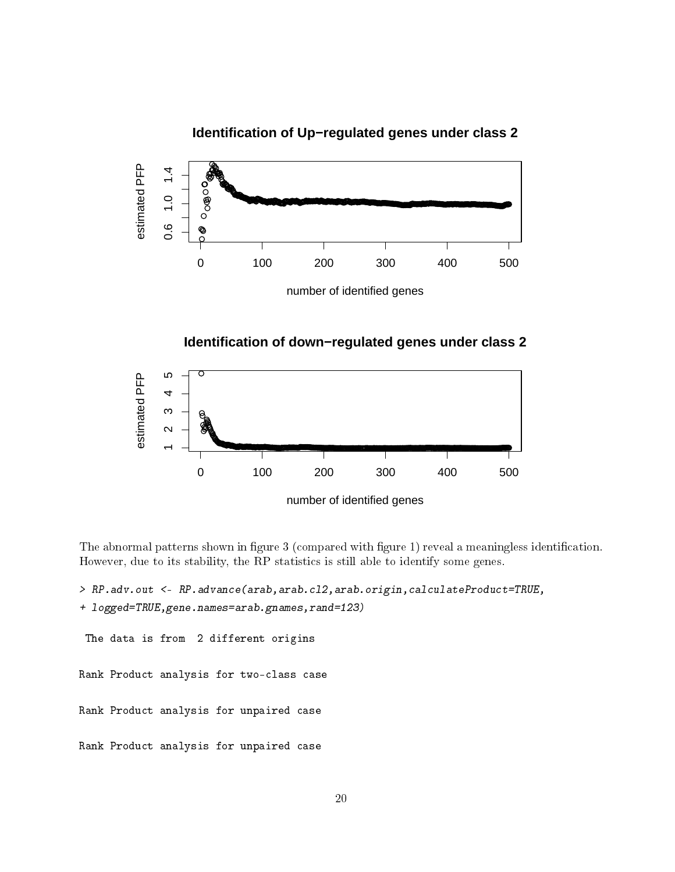# **Identification of Up−regulated genes under class 2**



**Identification of down−regulated genes under class 2**



The abnormal patterns shown in figure 3 (compared with figure 1) reveal a meaningless identification. However, due to its stability, the RP statistics is still able to identify some genes.

```
> RP.adv.out <- RP.advance(arab,arab.cl2,arab.origin,calculateProduct=TRUE,
+ logged=TRUE,gene.names=arab.gnames,rand=123)
 The data is from 2 different origins
Rank Product analysis for two-class case
Rank Product analysis for unpaired case
Rank Product analysis for unpaired case
```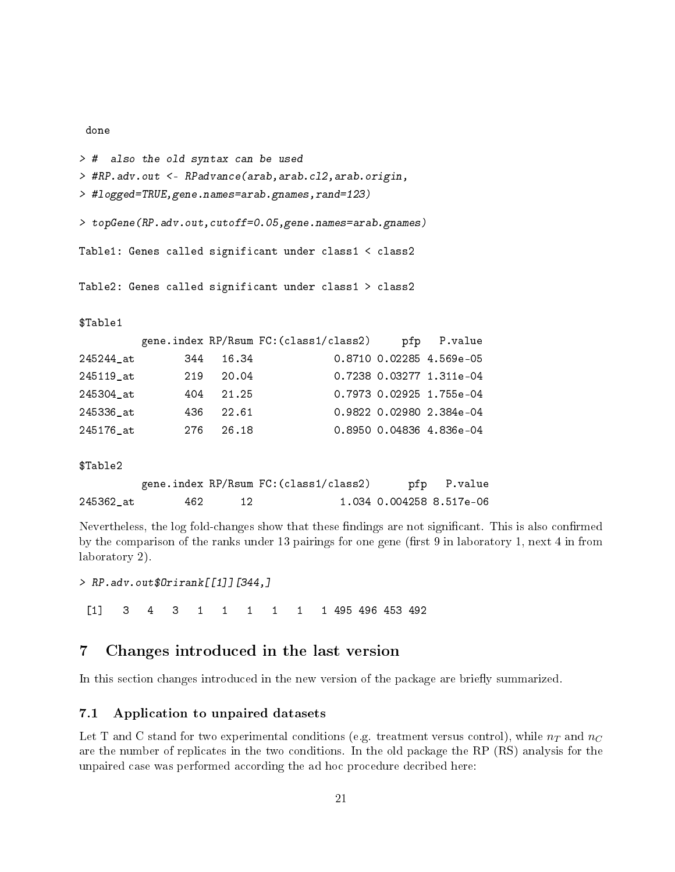```
> # also the old syntax can be used
> #RP.adv.out <- RPadvance(arab,arab.cl2,arab.origin,
> #logged=TRUE,gene.names=arab.gnames,rand=123)
> topGene(RP.adv.out,cutoff=0.05,gene.names=arab.gnames)
Table1: Genes called significant under class1 < class2
Table2: Genes called significant under class1 > class2
$Table1
        gene.index RP/Rsum FC:(class1/class2) pfp P.value
245244_at 344 16.34 0.8710 0.02285 4.569e-05
245119_at 219 20.04 0.7238 0.03277 1.311e-04
245304_at 404 21.25 0.7973 0.02925 1.755e-04
245336_at 436 22.61 0.9822 0.02980 2.384e-04
245176 at 276 26.18 0.8950 0.04836 4.836e-04
$Table2
        gene.index RP/Rsum FC:(class1/class2) pfp P.value
245362_at 462 12 1.034 0.004258 8.517e-06
```
Nevertheless, the log fold-changes show that these findings are not significant. This is also confirmed by the comparison of the ranks under 13 pairings for one gene (first 9 in laboratory 1, next 4 in from laboratory 2).

> RP.adv.out\$Orirank[[1]][344,]

done

[1] 3 4 3 1 1 1 1 1 1 495 496 453 492

# 7 Changes introduced in the last version

In this section changes introduced in the new version of the package are briefly summarized.

### 7.1 Application to unpaired datasets

Let T and C stand for two experimental conditions (e.g. treatment versus control), while  $n<sub>T</sub>$  and  $n<sub>C</sub>$ are the number of replicates in the two conditions. In the old package the RP (RS) analysis for the unpaired case was performed according the ad hoc procedure decribed here: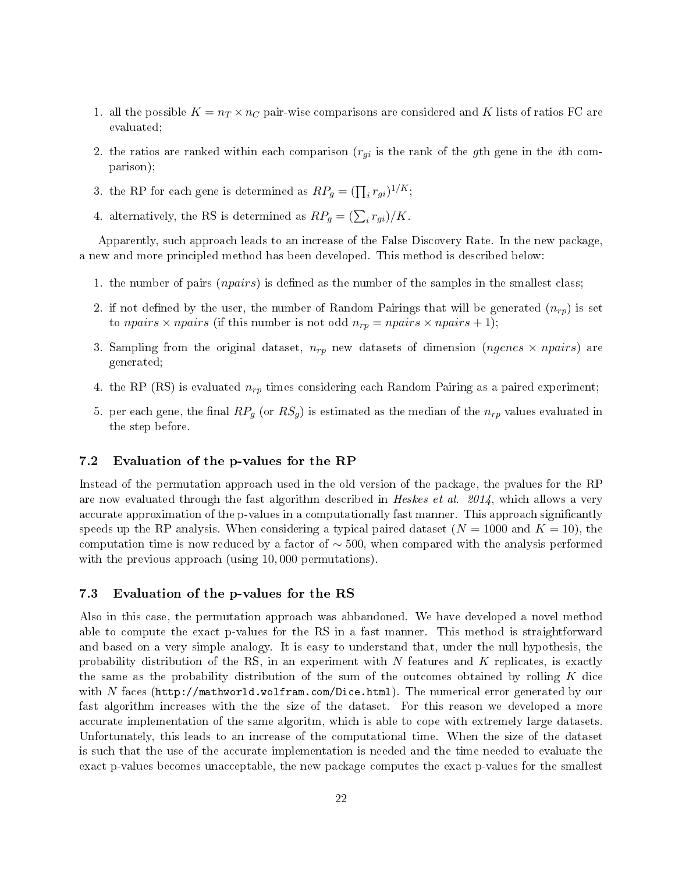- 1. all the possible  $K = n_T \times n_C$  pair-wise comparisons are considered and K lists of ratios FC are evaluated;
- 2. the ratios are ranked within each comparison  $(r_{gi}$  is the rank of the gth gene in the *i*th comparison);
- 3. the RP for each gene is determined as  $RP_g = (\prod_i r_{gi})^{1/K};$
- 4. alternatively, the RS is determined as  $RP_g = (\sum_i r_{gi})/K$ .

Apparently, such approach leads to an increase of the False Discovery Rate. In the new package, a new and more principled method has been developed. This method is described below:

- 1. the number of pairs (*npairs*) is defined as the number of the samples in the smallest class;
- 2. if not defined by the user, the number of Random Pairings that will be generated  $(n_{rp})$  is set to npairs  $\times$  npairs (if this number is not odd  $n_{rp} = npairs \times npairs + 1$ );
- 3. Sampling from the original dataset,  $n_{rp}$  new datasets of dimension (ngenes  $\times$  npairs) are generated;
- 4. the RP (RS) is evaluated  $n_{rp}$  times considering each Random Pairing as a paired experiment;
- 5. per each gene, the final  $RP_g$  (or  $RS_g$ ) is estimated as the median of the  $n_{rp}$  values evaluated in the step before.

### 7.2 Evaluation of the p-values for the RP

Instead of the permutation approach used in the old version of the package, the pvalues for the RP are now evaluated through the fast algorithm described in Heskes et al.  $2014$ , which allows a very accurate approximation of the p-values in a computationally fast manner. This approach significantly speeds up the RP analysis. When considering a typical paired dataset  $(N = 1000$  and  $K = 10)$ , the computation time is now reduced by a factor of  $\sim$  500, when compared with the analysis performed with the previous approach (using 10,000 permutations).

### 7.3 Evaluation of the p-values for the RS

Also in this case, the permutation approach was abbandoned. We have developed a novel method able to compute the exact p-values for the RS in a fast manner. This method is straightforward and based on a very simple analogy. It is easy to understand that, under the null hypothesis, the probability distribution of the RS, in an experiment with  $N$  features and  $K$  replicates, is exactly the same as the probability distribution of the sum of the outcomes obtained by rolling  $K$  dice with N faces (http://mathworld.wolfram.com/Dice.html). The numerical error generated by our fast algorithm increases with the the size of the dataset. For this reason we developed a more accurate implementation of the same algoritm, which is able to cope with extremely large datasets. Unfortunately, this leads to an increase of the computational time. When the size of the dataset is such that the use of the accurate implementation is needed and the time needed to evaluate the exact p-values becomes unacceptable, the new package computes the exact p-values for the smallest